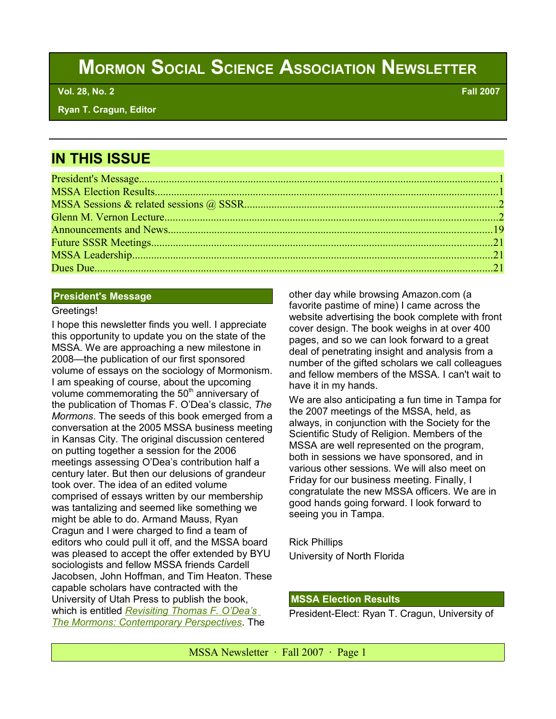# **MORMON SOCIAL SCIENCE ASSOCIATION NEWSLETTER**

 **Vol. 28, No. 2 Fall 2007**

 **Ryan T. Cragun, Editor**

# **IN THIS ISSUE**

#### **President's Message**

#### Greetings!

I hope this newsletter finds you well. I appreciate this opportunity to update you on the state of the MSSA. We are approaching a new milestone in 2008—the publication of our first sponsored volume of essays on the sociology of Mormonism. I am speaking of course, about the upcoming volume commemorating the  $50<sup>th</sup>$  anniversary of the publication of Thomas F. O'Dea's classic, *The Mormons*. The seeds of this book emerged from a conversation at the 2005 MSSA business meeting in Kansas City. The original discussion centered on putting together a session for the 2006 meetings assessing O'Dea's contribution half a century later. But then our delusions of grandeur took over. The idea of an edited volume comprised of essays written by our membership was tantalizing and seemed like something we might be able to do. Armand Mauss, Ryan Cragun and I were charged to find a team of editors who could pull it off, and the MSSA board was pleased to accept the offer extended by BYU sociologists and fellow MSSA friends Cardell Jacobsen, John Hoffman, and Tim Heaton. These capable scholars have contracted with the University of Utah Press to publish the book, which is entitled *[Revisiting Thomas F. O'Dea's](http://www.amazon.com/Revisiting-Thomas-ODeas-Mormons-Contemporary/dp/0874809207/ref=sr_1_1/102-6610114-5430508?ie=UTF8&s=books&qid=1190400206&sr=8-1) [The Mormons: Contemporary Perspectives](http://www.amazon.com/Revisiting-Thomas-ODeas-Mormons-Contemporary/dp/0874809207/ref=sr_1_1/102-6610114-5430508?ie=UTF8&s=books&qid=1190400206&sr=8-1)*. The

other day while browsing Amazon.com (a favorite pastime of mine) I came across the website advertising the book complete with front cover design. The book weighs in at over 400 pages, and so we can look forward to a great deal of penetrating insight and analysis from a number of the gifted scholars we call colleagues and fellow members of the MSSA. I can't wait to have it in my hands.

We are also anticipating a fun time in Tampa for the 2007 meetings of the MSSA, held, as always, in conjunction with the Society for the Scientific Study of Religion. Members of the MSSA are well represented on the program, both in sessions we have sponsored, and in various other sessions. We will also meet on Friday for our business meeting. Finally, I congratulate the new MSSA officers. We are in good hands going forward. I look forward to seeing you in Tampa.

Rick Phillips University of North Florida

# **MSSA Election Results**

President-Elect: Ryan T. Cragun, University of

MSSA Newsletter · Fall 2007 · Page 1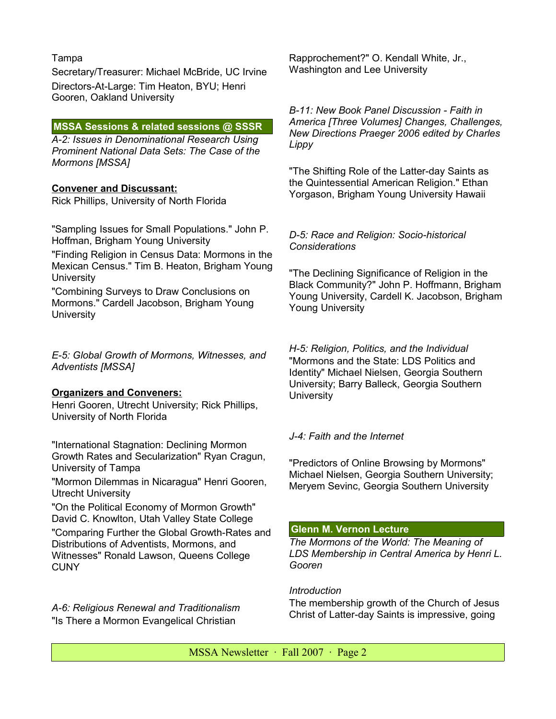# Tampa

Secretary/Treasurer: Michael McBride, UC Irvine Directors-At-Large: Tim Heaton, BYU; Henri Gooren, Oakland University

# **MSSA Sessions & related sessions @ SSSR**

*A-2: Issues in Denominational Research Using Prominent National Data Sets: The Case of the Mormons [MSSA]*

# **Convener and Discussant:**

Rick Phillips, University of North Florida

"Sampling Issues for Small Populations." John P. Hoffman, Brigham Young University

"Finding Religion in Census Data: Mormons in the Mexican Census." Tim B. Heaton, Brigham Young **University** 

"Combining Surveys to Draw Conclusions on Mormons." Cardell Jacobson, Brigham Young **University** 

*E-5: Global Growth of Mormons, Witnesses, and Adventists [MSSA]*

# **Organizers and Conveners:**

Henri Gooren, Utrecht University; Rick Phillips, University of North Florida

"International Stagnation: Declining Mormon Growth Rates and Secularization" Ryan Cragun, University of Tampa

"Mormon Dilemmas in Nicaragua" Henri Gooren, Utrecht University

"On the Political Economy of Mormon Growth" David C. Knowlton, Utah Valley State College

"Comparing Further the Global Growth-Rates and Distributions of Adventists, Mormons, and Witnesses" Ronald Lawson, Queens College **CUNY** 

*A-6: Religious Renewal and Traditionalism* "Is There a Mormon Evangelical Christian

Rapprochement?" O. Kendall White, Jr., Washington and Lee University

*B-11: New Book Panel Discussion - Faith in America [Three Volumes] Changes, Challenges, New Directions Praeger 2006 edited by Charles Lippy*

"The Shifting Role of the Latter-day Saints as the Quintessential American Religion." Ethan Yorgason, Brigham Young University Hawaii

# *D-5: Race and Religion: Socio-historical Considerations*

"The Declining Significance of Religion in the Black Community?" John P. Hoffmann, Brigham Young University, Cardell K. Jacobson, Brigham Young University

*H-5: Religion, Politics, and the Individual* "Mormons and the State: LDS Politics and Identity" Michael Nielsen, Georgia Southern University; Barry Balleck, Georgia Southern **University** 

# *J-4: Faith and the Internet*

"Predictors of Online Browsing by Mormons" Michael Nielsen, Georgia Southern University; Meryem Sevinc, Georgia Southern University

# **Glenn M. Vernon Lecture**

*The Mormons of the World: The Meaning of LDS Membership in Central America by Henri L. Gooren*

# *Introduction*

The membership growth of the Church of Jesus Christ of Latter-day Saints is impressive, going

 $MSSA$  Newsletter  $\cdot$  Fall 2007  $\cdot$  Page 2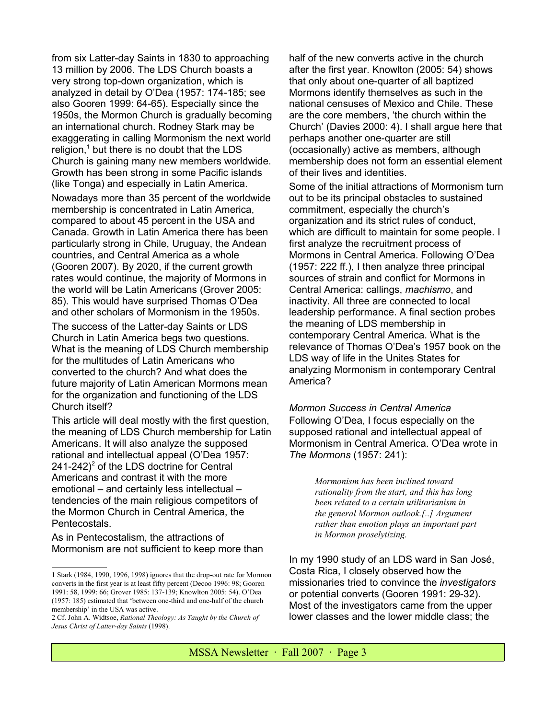from six Latter-day Saints in 1830 to approaching 13 million by 2006. The LDS Church boasts a very strong top-down organization, which is analyzed in detail by O'Dea (1957: 174-185; see also Gooren 1999: 64-65). Especially since the 1950s, the Mormon Church is gradually becoming an international church. Rodney Stark may be exaggerating in calling Mormonism the next world religion,<sup>[1](#page-2-0)</sup> but there is no doubt that the LDS Church is gaining many new members worldwide. Growth has been strong in some Pacific islands (like Tonga) and especially in Latin America.

Nowadays more than 35 percent of the worldwide membership is concentrated in Latin America, compared to about 45 percent in the USA and Canada. Growth in Latin America there has been particularly strong in Chile, Uruguay, the Andean countries, and Central America as a whole (Gooren 2007). By 2020, if the current growth rates would continue, the majority of Mormons in the world will be Latin Americans (Grover 2005: 85). This would have surprised Thomas O'Dea and other scholars of Mormonism in the 1950s.

The success of the Latter-day Saints or LDS Church in Latin America begs two questions. What is the meaning of LDS Church membership for the multitudes of Latin Americans who converted to the church? And what does the future majority of Latin American Mormons mean for the organization and functioning of the LDS Church itself?

This article will deal mostly with the first question, the meaning of LDS Church membership for Latin Americans. It will also analyze the supposed rational and intellectual appeal (O'Dea 1957:  $241-242$  $241-242$ <sup>2</sup> of the LDS doctrine for Central Americans and contrast it with the more emotional – and certainly less intellectual – tendencies of the main religious competitors of the Mormon Church in Central America, the Pentecostals.

As in Pentecostalism, the attractions of Mormonism are not sufficient to keep more than half of the new converts active in the church after the first year. Knowlton (2005: 54) shows that only about one-quarter of all baptized Mormons identify themselves as such in the national censuses of Mexico and Chile. These are the core members, 'the church within the Church' (Davies 2000: 4). I shall argue here that perhaps another one-quarter are still (occasionally) active as members, although membership does not form an essential element of their lives and identities.

Some of the initial attractions of Mormonism turn out to be its principal obstacles to sustained commitment, especially the church's organization and its strict rules of conduct, which are difficult to maintain for some people. I first analyze the recruitment process of Mormons in Central America. Following O'Dea (1957: 222 ff.), I then analyze three principal sources of strain and conflict for Mormons in Central America: callings, *machismo*, and inactivity. All three are connected to local leadership performance. A final section probes the meaning of LDS membership in contemporary Central America. What is the relevance of Thomas O'Dea's 1957 book on the LDS way of life in the Unites States for analyzing Mormonism in contemporary Central America?

*Mormon Success in Central America* Following O'Dea, I focus especially on the supposed rational and intellectual appeal of Mormonism in Central America. O'Dea wrote in *The Mormons* (1957: 241):

> *Mormonism has been inclined toward rationality from the start, and this has long been related to a certain utilitarianism in the general Mormon outlook.[..] Argument rather than emotion plays an important part in Mormon proselytizing.*

In my 1990 study of an LDS ward in San José, Costa Rica, I closely observed how the missionaries tried to convince the *investigators* or potential converts (Gooren 1991: 29-32). Most of the investigators came from the upper lower classes and the lower middle class; the

<span id="page-2-0"></span><sup>1</sup> Stark (1984, 1990, 1996, 1998) ignores that the drop-out rate for Mormon converts in the first year is at least fifty percent (Decoo 1996: 98; Gooren 1991: 58, 1999: 66; Grover 1985: 137-139; Knowlton 2005: 54). O'Dea (1957: 185) estimated that 'between one-third and one-half of the church membership' in the USA was active.

<span id="page-2-1"></span><sup>2</sup> Cf. John A. Widtsoe, *Rational Theology: As Taught by the Church of Jesus Christ of Latter-day Saints* (1998).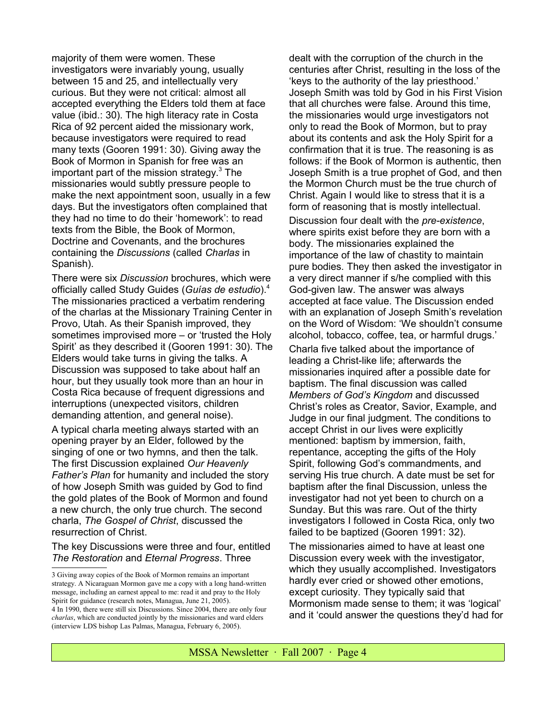majority of them were women. These investigators were invariably young, usually between 15 and 25, and intellectually very curious. But they were not critical: almost all accepted everything the Elders told them at face value (ibid.: 30). The high literacy rate in Costa Rica of 92 percent aided the missionary work, because investigators were required to read many texts (Gooren 1991: 30). Giving away the Book of Mormon in Spanish for free was an important part of the mission strategy. $3$  The missionaries would subtly pressure people to make the next appointment soon, usually in a few days. But the investigators often complained that they had no time to do their 'homework': to read texts from the Bible, the Book of Mormon, Doctrine and Covenants, and the brochures containing the *Discussions* (called *Charlas* in Spanish).

There were six *Discussion* brochures, which were officially called Study Guides (*Guías de estudio*).[4](#page-3-1) The missionaries practiced a verbatim rendering of the charlas at the Missionary Training Center in Provo, Utah. As their Spanish improved, they sometimes improvised more – or 'trusted the Holy Spirit' as they described it (Gooren 1991: 30). The Elders would take turns in giving the talks. A Discussion was supposed to take about half an hour, but they usually took more than an hour in Costa Rica because of frequent digressions and interruptions (unexpected visitors, children demanding attention, and general noise).

A typical charla meeting always started with an opening prayer by an Elder, followed by the singing of one or two hymns, and then the talk. The first Discussion explained *Our Heavenly Father's Plan* for humanity and included the story of how Joseph Smith was guided by God to find the gold plates of the Book of Mormon and found a new church, the only true church. The second charla, *The Gospel of Christ*, discussed the resurrection of Christ.

The key Discussions were three and four, entitled *The Restoration* and *Eternal Progress*. Three

dealt with the corruption of the church in the centuries after Christ, resulting in the loss of the 'keys to the authority of the lay priesthood.' Joseph Smith was told by God in his First Vision that all churches were false. Around this time, the missionaries would urge investigators not only to read the Book of Mormon, but to pray about its contents and ask the Holy Spirit for a confirmation that it is true. The reasoning is as follows: if the Book of Mormon is authentic, then Joseph Smith is a true prophet of God, and then the Mormon Church must be the true church of Christ. Again I would like to stress that it is a form of reasoning that is mostly intellectual. Discussion four dealt with the *pre-existence*, where spirits exist before they are born with a body. The missionaries explained the importance of the law of chastity to maintain pure bodies. They then asked the investigator in a very direct manner if s/he complied with this God-given law. The answer was always accepted at face value. The Discussion ended with an explanation of Joseph Smith's revelation on the Word of Wisdom: 'We shouldn't consume alcohol, tobacco, coffee, tea, or harmful drugs.'

Charla five talked about the importance of leading a Christ-like life; afterwards the missionaries inquired after a possible date for baptism. The final discussion was called *Members of God's Kingdom* and discussed Christ's roles as Creator, Savior, Example, and Judge in our final judgment. The conditions to accept Christ in our lives were explicitly mentioned: baptism by immersion, faith, repentance, accepting the gifts of the Holy Spirit, following God's commandments, and serving His true church. A date must be set for baptism after the final Discussion, unless the investigator had not yet been to church on a Sunday. But this was rare. Out of the thirty investigators I followed in Costa Rica, only two failed to be baptized (Gooren 1991: 32).

The missionaries aimed to have at least one Discussion every week with the investigator, which they usually accomplished. Investigators hardly ever cried or showed other emotions, except curiosity. They typically said that Mormonism made sense to them; it was 'logical' and it 'could answer the questions they'd had for

<span id="page-3-1"></span><span id="page-3-0"></span><sup>3</sup> Giving away copies of the Book of Mormon remains an important strategy. A Nicaraguan Mormon gave me a copy with a long hand-written message, including an earnest appeal to me: read it and pray to the Holy Spirit for guidance (research notes, Managua, June 21, 2005). 4 In 1990, there were still six Discussions. Since 2004, there are only four *charlas*, which are conducted jointly by the missionaries and ward elders (interview LDS bishop Las Palmas, Managua, February 6, 2005).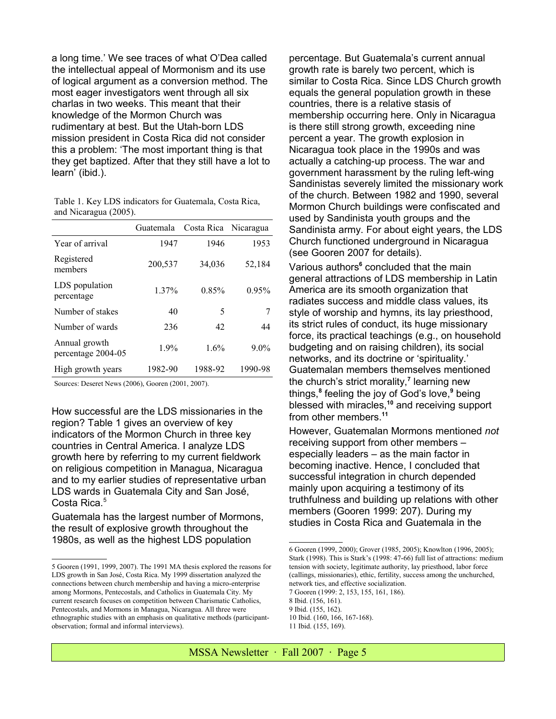a long time.' We see traces of what O'Dea called the intellectual appeal of Mormonism and its use of logical argument as a conversion method. The most eager investigators went through all six charlas in two weeks. This meant that their knowledge of the Mormon Church was rudimentary at best. But the Utah-born LDS mission president in Costa Rica did not consider this a problem: 'The most important thing is that they get baptized. After that they still have a lot to learn' (ibid.).

| Table 1. Key LDS indicators for Guatemala, Costa Rica, |  |  |  |
|--------------------------------------------------------|--|--|--|
| and Nicaragua (2005).                                  |  |  |  |

|                                     | Guatemala | Costa Rica | Nicaragua |
|-------------------------------------|-----------|------------|-----------|
| Year of arrival                     | 1947      | 1946       | 1953      |
| Registered<br>members               | 200,537   | 34,036     | 52,184    |
| LDS population<br>percentage        | $1.37\%$  | 0.85%      | 0.95%     |
| Number of stakes                    | 40        | 5          | 7         |
| Number of wards                     | 236       | 42         | 44        |
| Annual growth<br>percentage 2004-05 | 1.9%      | 1.6%       | $9.0\%$   |
| High growth years                   | 1982-90   | 1988-92    | 1990-98   |

Sources: Deseret News (2006), Gooren (2001, 2007).

How successful are the LDS missionaries in the region? Table 1 gives an overview of key indicators of the Mormon Church in three key countries in Central America. I analyze LDS growth here by referring to my current fieldwork on religious competition in Managua, Nicaragua and to my earlier studies of representative urban LDS wards in Guatemala City and San José, Costa Rica.<sup>[5](#page-4-0)</sup>

Guatemala has the largest number of Mormons, the result of explosive growth throughout the 1980s, as well as the highest LDS population

percentage. But Guatemala's current annual growth rate is barely two percent, which is similar to Costa Rica. Since LDS Church growth equals the general population growth in these countries, there is a relative stasis of membership occurring here. Only in Nicaragua is there still strong growth, exceeding nine percent a year. The growth explosion in Nicaragua took place in the 1990s and was actually a catching-up process. The war and government harassment by the ruling left-wing Sandinistas severely limited the missionary work of the church. Between 1982 and 1990, several Mormon Church buildings were confiscated and used by Sandinista youth groups and the Sandinista army. For about eight years, the LDS Church functioned underground in Nicaragua (see Gooren 2007 for details).

Various authors<sup>[6](#page-4-1)</sup> concluded that the main general attractions of LDS membership in Latin America are its smooth organization that radiates success and middle class values, its style of worship and hymns, its lay priesthood, its strict rules of conduct, its huge missionary force, its practical teachings (e.g., on household budgeting and on raising children), its social networks, and its doctrine or 'spirituality.' Guatemalan members themselves mentioned the church's strict morality,**[7](#page-4-2)** learning new things,**[8](#page-4-3)** feeling the joy of God's love,**[9](#page-4-4)** being blessed with miracles,**[10](#page-4-5)** and receiving support from other members.**[11](#page-4-6)**

However, Guatemalan Mormons mentioned *not* receiving support from other members – especially leaders – as the main factor in becoming inactive. Hence, I concluded that successful integration in church depended mainly upon acquiring a testimony of its truthfulness and building up relations with other members (Gooren 1999: 207). During my studies in Costa Rica and Guatemala in the

<span id="page-4-2"></span>7 Gooren (1999: 2, 153, 155, 161, 186).

<span id="page-4-6"></span><span id="page-4-5"></span>10 Ibid. (160, 166, 167-168). 11 Ibid. (155, 169).

<span id="page-4-0"></span><sup>5</sup> Gooren (1991, 1999, 2007). The 1991 MA thesis explored the reasons for LDS growth in San José, Costa Rica. My 1999 dissertation analyzed the connections between church membership and having a micro-enterprise among Mormons, Pentecostals, and Catholics in Guatemala City. My current research focuses on competition between Charismatic Catholics, Pentecostals, and Mormons in Managua, Nicaragua. All three were ethnographic studies with an emphasis on qualitative methods (participantobservation; formal and informal interviews).

<span id="page-4-1"></span><sup>6</sup> Gooren (1999, 2000); Grover (1985, 2005); Knowlton (1996, 2005); Stark (1998). This is Stark's (1998: 47-66) full list of attractions: medium tension with society, legitimate authority, lay priesthood, labor force (callings, missionaries), ethic, fertility, success among the unchurched, network ties, and effective socialization.

<span id="page-4-3"></span><sup>8</sup> Ibid. (156, 161).

<span id="page-4-4"></span><sup>9</sup> Ibid. (155, 162).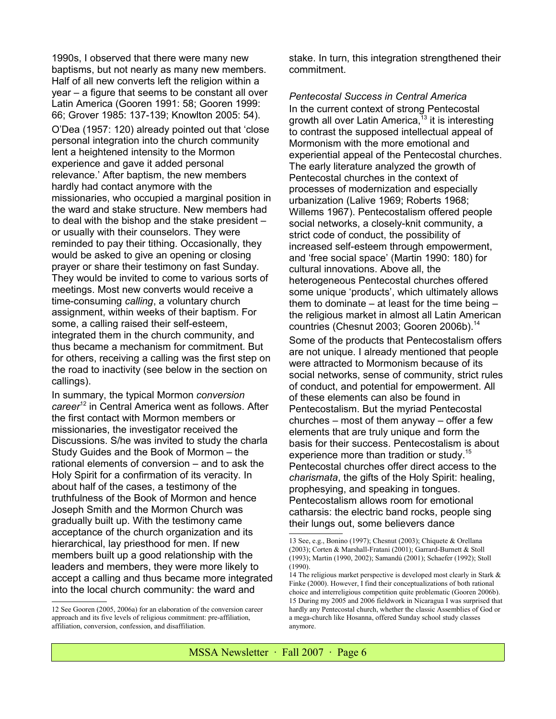1990s, I observed that there were many new baptisms, but not nearly as many new members. Half of all new converts left the religion within a year – a figure that seems to be constant all over Latin America (Gooren 1991: 58; Gooren 1999: 66; Grover 1985: 137-139; Knowlton 2005: 54). O'Dea (1957: 120) already pointed out that 'close personal integration into the church community lent a heightened intensity to the Mormon experience and gave it added personal relevance.' After baptism, the new members hardly had contact anymore with the missionaries, who occupied a marginal position in the ward and stake structure. New members had to deal with the bishop and the stake president – or usually with their counselors. They were reminded to pay their tithing. Occasionally, they would be asked to give an opening or closing prayer or share their testimony on fast Sunday. They would be invited to come to various sorts of meetings. Most new converts would receive a time-consuming *calling*, a voluntary church assignment, within weeks of their baptism. For some, a calling raised their self-esteem, integrated them in the church community, and thus became a mechanism for commitment. But for others, receiving a calling was the first step on the road to inactivity (see below in the section on callings).

In summary, the typical Mormon *conversion career*[12](#page-5-0) in Central America went as follows. After the first contact with Mormon members or missionaries, the investigator received the Discussions. S/he was invited to study the charla Study Guides and the Book of Mormon – the rational elements of conversion – and to ask the Holy Spirit for a confirmation of its veracity. In about half of the cases, a testimony of the truthfulness of the Book of Mormon and hence Joseph Smith and the Mormon Church was gradually built up. With the testimony came acceptance of the church organization and its hierarchical, lay priesthood for men. If new members built up a good relationship with the leaders and members, they were more likely to accept a calling and thus became more integrated into the local church community: the ward and

<span id="page-5-0"></span>12 See Gooren (2005, 2006a) for an elaboration of the conversion career approach and its five levels of religious commitment: pre-affiliation, affiliation, conversion, confession, and disaffiliation.

stake. In turn, this integration strengthened their commitment.

*Pentecostal Success in Central America* In the current context of strong Pentecostal growth all over Latin America,  $13$  it is interesting to contrast the supposed intellectual appeal of Mormonism with the more emotional and experiential appeal of the Pentecostal churches. The early literature analyzed the growth of Pentecostal churches in the context of processes of modernization and especially urbanization (Lalive 1969; Roberts 1968; Willems 1967). Pentecostalism offered people social networks, a closely-knit community, a strict code of conduct, the possibility of increased self-esteem through empowerment, and 'free social space' (Martin 1990: 180) for cultural innovations. Above all, the heterogeneous Pentecostal churches offered some unique 'products', which ultimately allows them to dominate  $-$  at least for the time being  $$ the religious market in almost all Latin American countries (Chesnut 2003; Gooren 2006b).<sup>[14](#page-5-2)</sup> Some of the products that Pentecostalism offers are not unique. I already mentioned that people were attracted to Mormonism because of its social networks, sense of community, strict rules of conduct, and potential for empowerment. All of these elements can also be found in Pentecostalism. But the myriad Pentecostal churches – most of them anyway – offer a few elements that are truly unique and form the basis for their success. Pentecostalism is about experience more than tradition or study.<sup>[15](#page-5-3)</sup> Pentecostal churches offer direct access to the *charismata*, the gifts of the Holy Spirit: healing, prophesying, and speaking in tongues. Pentecostalism allows room for emotional catharsis: the electric band rocks, people sing their lungs out, some believers dance

<span id="page-5-1"></span><sup>13</sup> See, e.g., Bonino (1997); Chesnut (2003); Chiquete & Orellana (2003); Corten & Marshall-Fratani (2001); Garrard-Burnett & Stoll (1993); Martin (1990, 2002); Samandú (2001); Schaefer (1992); Stoll (1990).

<span id="page-5-3"></span><span id="page-5-2"></span><sup>14</sup> The religious market perspective is developed most clearly in Stark & Finke (2000). However, I find their conceptualizations of both rational choice and interreligious competition quite problematic (Gooren 2006b). 15 During my 2005 and 2006 fieldwork in Nicaragua I was surprised that hardly any Pentecostal church, whether the classic Assemblies of God or a mega-church like Hosanna, offered Sunday school study classes anymore.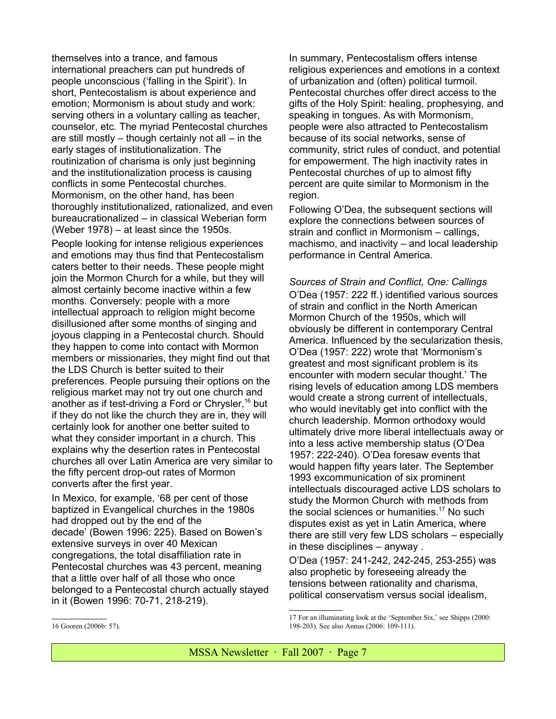themselves into a trance, and famous international preachers can put hundreds of people unconscious ('falling in the Spirit'). In short, Pentecostalism is about experience and emotion; Mormonism is about study and work: serving others in a voluntary calling as teacher, counselor, etc. The myriad Pentecostal churches are still mostly  $-$  though certainly not all  $-$  in the early stages of institutionalization. The routinization of charisma is only just beginning and the institutionalization process is causing conflicts in some Pentecostal churches. Mormonism, on the other hand, has been thoroughly institutionalized, rationalized, and even bureaucrationalized – in classical Weberian form (Weber 1978) – at least since the 1950s.

People looking for intense religious experiences and emotions may thus find that Pentecostalism caters better to their needs. These people might join the Mormon Church for a while, but they will almost certainly become inactive within a few months. Conversely: people with a more intellectual approach to religion might become disillusioned after some months of singing and joyous clapping in a Pentecostal church. Should they happen to come into contact with Mormon members or missionaries, they might find out that the LDS Church is better suited to their preferences. People pursuing their options on the religious market may not try out one church and another as if test-driving a Ford or Chrysler,<sup>[16](#page-6-0)</sup> but if they do not like the church they are in, they will certainly look for another one better suited to what they consider important in a church. This explains why the desertion rates in Pentecostal churches all over Latin America are very similar to the fifty percent drop-out rates of Mormon converts after the first year.

In Mexico, for example, '68 per cent of those baptized in Evangelical churches in the 1980s had dropped out by the end of the decade' (Bowen 1996: 225). Based on Bowen's extensive surveys in over 40 Mexican congregations, the total disaffiliation rate in Pentecostal churches was 43 percent, meaning that a little over half of all those who once belonged to a Pentecostal church actually stayed in it (Bowen 1996: 70-71, 218-219).

In summary, Pentecostalism offers intense religious experiences and emotions in a context of urbanization and (often) political turmoil. Pentecostal churches offer direct access to the gifts of the Holy Spirit: healing, prophesying, and speaking in tongues. As with Mormonism, people were also attracted to Pentecostalism because of its social networks, sense of community, strict rules of conduct, and potential for empowerment. The high inactivity rates in Pentecostal churches of up to almost fifty percent are quite similar to Mormonism in the region.

Following O'Dea, the subsequent sections will explore the connections between sources of strain and conflict in Mormonism – callings, machismo, and inactivity – and local leadership performance in Central America.

*Sources of Strain and Conflict, One: Callings* O'Dea (1957: 222 ff.) identified various sources of strain and conflict in the North American Mormon Church of the 1950s, which will obviously be different in contemporary Central America. Influenced by the secularization thesis, O'Dea (1957: 222) wrote that 'Mormonism's greatest and most significant problem is its encounter with modern secular thought.' The rising levels of education among LDS members would create a strong current of intellectuals, who would inevitably get into conflict with the church leadership. Mormon orthodoxy would ultimately drive more liberal intellectuals away or into a less active membership status (O'Dea 1957: 222-240). O'Dea foresaw events that would happen fifty years later. The September 1993 excommunication of six prominent intellectuals discouraged active LDS scholars to study the Mormon Church with methods from the social sciences or humanities.<sup>[17](#page-6-1)</sup> No such disputes exist as yet in Latin America, where there are still very few LDS scholars – especially in these disciplines – anyway .

O'Dea (1957: 241-242, 242-245, 253-255) was also prophetic by foreseeing already the tensions between rationality and charisma, political conservatism versus social idealism,

<span id="page-6-1"></span><sup>17</sup> For an illuminating look at the 'September Six,' see Shipps (2000: 198-203). See also Annus (2006: 109-111).

<span id="page-6-0"></span><sup>16</sup> Gooren (2006b: 57).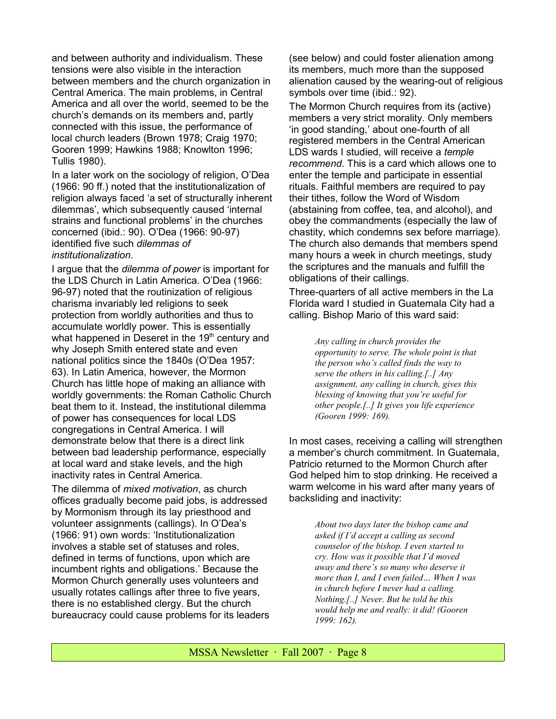and between authority and individualism. These tensions were also visible in the interaction between members and the church organization in Central America. The main problems, in Central America and all over the world, seemed to be the church's demands on its members and, partly connected with this issue, the performance of local church leaders (Brown 1978; Craig 1970; Gooren 1999; Hawkins 1988; Knowlton 1996; Tullis 1980).

In a later work on the sociology of religion, O'Dea (1966: 90 ff.) noted that the institutionalization of religion always faced 'a set of structurally inherent dilemmas', which subsequently caused 'internal strains and functional problems' in the churches concerned (ibid.: 90). O'Dea (1966: 90-97) identified five such *dilemmas of institutionalization*.

I argue that the *dilemma of power* is important for the LDS Church in Latin America. O'Dea (1966: 96-97) noted that the routinization of religious charisma invariably led religions to seek protection from worldly authorities and thus to accumulate worldly power. This is essentially what happened in Deseret in the  $19<sup>th</sup>$  century and why Joseph Smith entered state and even national politics since the 1840s (O'Dea 1957: 63). In Latin America, however, the Mormon Church has little hope of making an alliance with worldly governments: the Roman Catholic Church beat them to it. Instead, the institutional dilemma of power has consequences for local LDS congregations in Central America. I will demonstrate below that there is a direct link between bad leadership performance, especially at local ward and stake levels, and the high inactivity rates in Central America.

The dilemma of *mixed motivation*, as church offices gradually become paid jobs, is addressed by Mormonism through its lay priesthood and volunteer assignments (callings). In O'Dea's (1966: 91) own words: 'Institutionalization involves a stable set of statuses and roles, defined in terms of functions, upon which are incumbent rights and obligations.' Because the Mormon Church generally uses volunteers and usually rotates callings after three to five years, there is no established clergy. But the church bureaucracy could cause problems for its leaders (see below) and could foster alienation among its members, much more than the supposed alienation caused by the wearing-out of religious symbols over time (ibid.: 92).

The Mormon Church requires from its (active) members a very strict morality. Only members 'in good standing,' about one-fourth of all registered members in the Central American LDS wards I studied, will receive a *temple recommend*. This is a card which allows one to enter the temple and participate in essential rituals. Faithful members are required to pay their tithes, follow the Word of Wisdom (abstaining from coffee, tea, and alcohol), and obey the commandments (especially the law of chastity, which condemns sex before marriage). The church also demands that members spend many hours a week in church meetings, study the scriptures and the manuals and fulfill the obligations of their callings.

Three-quarters of all active members in the La Florida ward I studied in Guatemala City had a calling. Bishop Mario of this ward said:

> *Any calling in church provides the opportunity to serve. The whole point is that the person who's called finds the way to serve the others in his calling.[..] Any assignment, any calling in church, gives this blessing of knowing that you're useful for other people.[..] It gives you life experience (Gooren 1999: 169).*

In most cases, receiving a calling will strengthen a member's church commitment. In Guatemala, Patricio returned to the Mormon Church after God helped him to stop drinking. He received a warm welcome in his ward after many years of backsliding and inactivity:

> *About two days later the bishop came and asked if I'd accept a calling as second counselor of the bishop. I even started to cry. How was it possible that I'd moved away and there's so many who deserve it more than I, and I even failed… When I was in church before I never had a calling. Nothing.[..] Never. But he told he this would help me and really: it did! (Gooren 1999: 162).*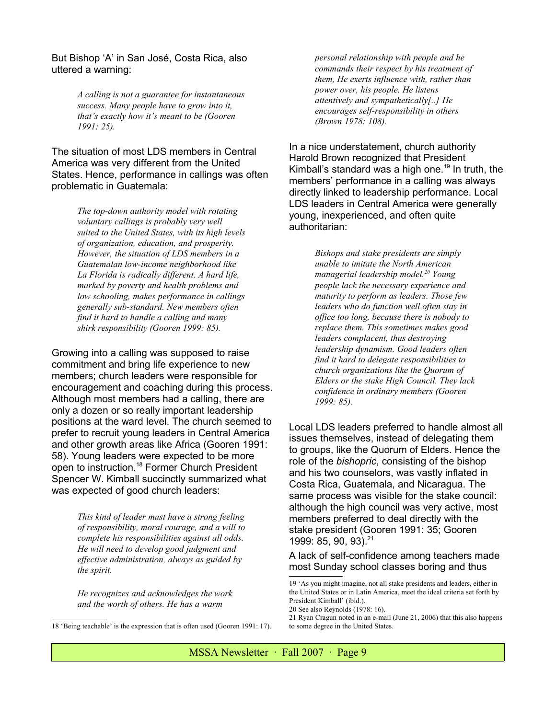But Bishop 'A' in San José, Costa Rica, also uttered a warning:

> *A calling is not a guarantee for instantaneous success. Many people have to grow into it, that's exactly how it's meant to be (Gooren 1991: 25).*

The situation of most LDS members in Central America was very different from the United States. Hence, performance in callings was often problematic in Guatemala:

> *The top-down authority model with rotating voluntary callings is probably very well suited to the United States, with its high levels of organization, education, and prosperity. However, the situation of LDS members in a Guatemalan low-income neighborhood like La Florida is radically different. A hard life, marked by poverty and health problems and low schooling, makes performance in callings generally sub-standard. New members often find it hard to handle a calling and many shirk responsibility (Gooren 1999: 85).*

Growing into a calling was supposed to raise commitment and bring life experience to new members; church leaders were responsible for encouragement and coaching during this process. Although most members had a calling, there are only a dozen or so really important leadership positions at the ward level. The church seemed to prefer to recruit young leaders in Central America and other growth areas like Africa (Gooren 1991: 58). Young leaders were expected to be more open to instruction.[18](#page-8-0) Former Church President Spencer W. Kimball succinctly summarized what was expected of good church leaders:

> *This kind of leader must have a strong feeling of responsibility, moral courage, and a will to complete his responsibilities against all odds. He will need to develop good judgment and effective administration, always as guided by the spirit.*

*He recognizes and acknowledges the work and the worth of others. He has a warm*

*personal relationship with people and he commands their respect by his treatment of them, He exerts influence with, rather than power over, his people. He listens attentively and sympathetically[..] He encourages self-responsibility in others (Brown 1978: 108).*

In a nice understatement, church authority Harold Brown recognized that President Kimball's standard was a high one.<sup>[19](#page-8-1)</sup> In truth, the members' performance in a calling was always directly linked to leadership performance. Local LDS leaders in Central America were generally young, inexperienced, and often quite authoritarian:

> *Bishops and stake presidents are simply unable to imitate the North American managerial leadership model.[20](#page-8-2) Young people lack the necessary experience and maturity to perform as leaders. Those few leaders who do function well often stay in office too long, because there is nobody to replace them. This sometimes makes good leaders complacent, thus destroying leadership dynamism. Good leaders often find it hard to delegate responsibilities to church organizations like the Quorum of Elders or the stake High Council. They lack confidence in ordinary members (Gooren 1999: 85).*

Local LDS leaders preferred to handle almost all issues themselves, instead of delegating them to groups, like the Quorum of Elders. Hence the role of the *bishopric*, consisting of the bishop and his two counselors, was vastly inflated in Costa Rica, Guatemala, and Nicaragua. The same process was visible for the stake council: although the high council was very active, most members preferred to deal directly with the stake president (Gooren 1991: 35; Gooren 1999: 85, 90, 93).<sup>[21](#page-8-3)</sup>

#### A lack of self-confidence among teachers made most Sunday school classes boring and thus

<span id="page-8-0"></span><sup>18 &#</sup>x27;Being teachable' is the expression that is often used (Gooren 1991: 17).

<span id="page-8-1"></span><sup>19 &#</sup>x27;As you might imagine, not all stake presidents and leaders, either in the United States or in Latin America, meet the ideal criteria set forth by President Kimball' (ibid.). 20 See also Reynolds (1978: 16).

<span id="page-8-3"></span><span id="page-8-2"></span><sup>21</sup> Ryan Cragun noted in an e-mail (June 21, 2006) that this also happens to some degree in the United States.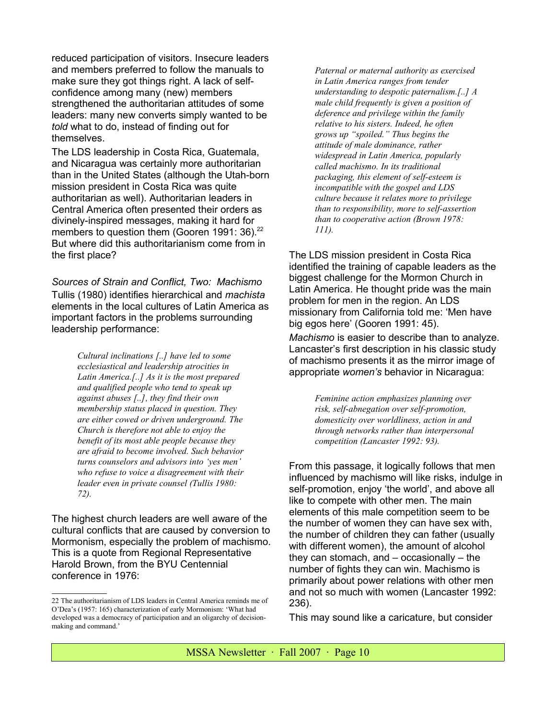reduced participation of visitors. Insecure leaders and members preferred to follow the manuals to make sure they got things right. A lack of selfconfidence among many (new) members strengthened the authoritarian attitudes of some leaders: many new converts simply wanted to be *told* what to do, instead of finding out for themselves.

The LDS leadership in Costa Rica, Guatemala, and Nicaragua was certainly more authoritarian than in the United States (although the Utah-born mission president in Costa Rica was quite authoritarian as well). Authoritarian leaders in Central America often presented their orders as divinely-inspired messages, making it hard for members to question them (Gooren 1991: 36). $^{22}$  $^{22}$  $^{22}$ But where did this authoritarianism come from in the first place?

*Sources of Strain and Conflict, Two: Machismo* Tullis (1980) identifies hierarchical and *machista* elements in the local cultures of Latin America as important factors in the problems surrounding leadership performance:

> *Cultural inclinations [..] have led to some ecclesiastical and leadership atrocities in Latin America.[..] As it is the most prepared and qualified people who tend to speak up against abuses [..], they find their own membership status placed in question. They are either cowed or driven underground. The Church is therefore not able to enjoy the benefit of its most able people because they are afraid to become involved. Such behavior turns counselors and advisors into 'yes men' who refuse to voice a disagreement with their leader even in private counsel (Tullis 1980: 72).*

The highest church leaders are well aware of the cultural conflicts that are caused by conversion to Mormonism, especially the problem of machismo. This is a quote from Regional Representative Harold Brown, from the BYU Centennial conference in 1976:

*Paternal or maternal authority as exercised in Latin America ranges from tender understanding to despotic paternalism.[..] A male child frequently is given a position of deference and privilege within the family relative to his sisters. Indeed, he often grows up "spoiled." Thus begins the attitude of male dominance, rather widespread in Latin America, popularly called machismo. In its traditional packaging, this element of self-esteem is incompatible with the gospel and LDS culture because it relates more to privilege than to responsibility, more to self-assertion than to cooperative action (Brown 1978: 111).*

The LDS mission president in Costa Rica identified the training of capable leaders as the biggest challenge for the Mormon Church in Latin America. He thought pride was the main problem for men in the region. An LDS missionary from California told me: 'Men have big egos here' (Gooren 1991: 45).

*Machismo* is easier to describe than to analyze. Lancaster's first description in his classic study of machismo presents it as the mirror image of appropriate *women's* behavior in Nicaragua:

> *Feminine action emphasizes planning over risk, self-abnegation over self-promotion, domesticity over worldliness, action in and through networks rather than interpersonal competition (Lancaster 1992: 93).*

From this passage, it logically follows that men influenced by machismo will like risks, indulge in self-promotion, enjoy 'the world', and above all like to compete with other men. The main elements of this male competition seem to be the number of women they can have sex with, the number of children they can father (usually with different women), the amount of alcohol they can stomach, and  $-$  occasionally  $-$  the number of fights they can win. Machismo is primarily about power relations with other men and not so much with women (Lancaster 1992: 236).

This may sound like a caricature, but consider

<span id="page-9-0"></span><sup>22</sup> The authoritarianism of LDS leaders in Central America reminds me of O'Dea's (1957: 165) characterization of early Mormonism: 'What had developed was a democracy of participation and an oligarchy of decisionmaking and command.'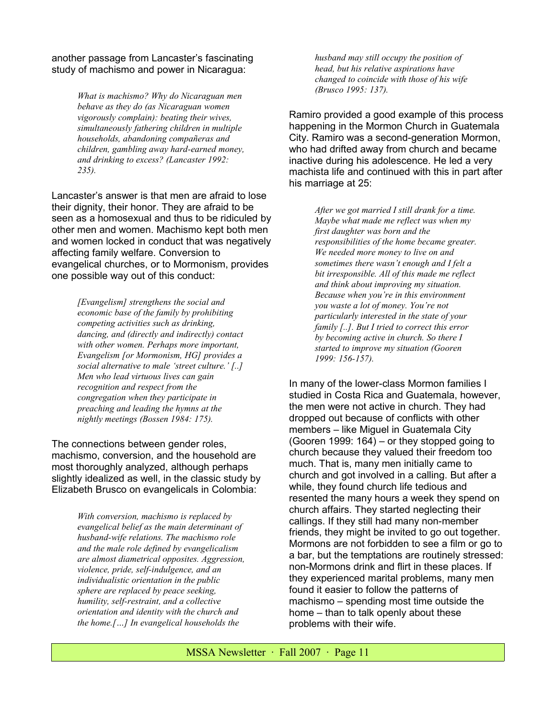another passage from Lancaster's fascinating study of machismo and power in Nicaragua:

> *What is machismo? Why do Nicaraguan men behave as they do (as Nicaraguan women vigorously complain): beating their wives, simultaneously fathering children in multiple households, abandoning compañeras and children, gambling away hard-earned money, and drinking to excess? (Lancaster 1992: 235).*

Lancaster's answer is that men are afraid to lose their dignity, their honor. They are afraid to be seen as a homosexual and thus to be ridiculed by other men and women. Machismo kept both men and women locked in conduct that was negatively affecting family welfare. Conversion to evangelical churches, or to Mormonism, provides one possible way out of this conduct:

> *[Evangelism] strengthens the social and economic base of the family by prohibiting competing activities such as drinking, dancing, and (directly and indirectly) contact with other women. Perhaps more important, Evangelism [or Mormonism, HG] provides a social alternative to male 'street culture.' [..] Men who lead virtuous lives can gain recognition and respect from the congregation when they participate in preaching and leading the hymns at the nightly meetings (Bossen 1984: 175).*

The connections between gender roles, machismo, conversion, and the household are most thoroughly analyzed, although perhaps slightly idealized as well, in the classic study by Elizabeth Brusco on evangelicals in Colombia:

> *With conversion, machismo is replaced by evangelical belief as the main determinant of husband-wife relations. The machismo role and the male role defined by evangelicalism are almost diametrical opposites. Aggression, violence, pride, self-indulgence, and an individualistic orientation in the public sphere are replaced by peace seeking, humility, self-restraint, and a collective orientation and identity with the church and the home.[…] In evangelical households the*

*husband may still occupy the position of head, but his relative aspirations have changed to coincide with those of his wife (Brusco 1995: 137).*

Ramiro provided a good example of this process happening in the Mormon Church in Guatemala City. Ramiro was a second-generation Mormon, who had drifted away from church and became inactive during his adolescence. He led a very machista life and continued with this in part after his marriage at 25:

> *After we got married I still drank for a time. Maybe what made me reflect was when my first daughter was born and the responsibilities of the home became greater. We needed more money to live on and sometimes there wasn't enough and I felt a bit irresponsible. All of this made me reflect and think about improving my situation. Because when you're in this environment you waste a lot of money. You're not particularly interested in the state of your family [..]. But I tried to correct this error by becoming active in church. So there I started to improve my situation (Gooren 1999: 156-157).*

In many of the lower-class Mormon families I studied in Costa Rica and Guatemala, however, the men were not active in church. They had dropped out because of conflicts with other members – like Miguel in Guatemala City (Gooren 1999: 164) – or they stopped going to church because they valued their freedom too much. That is, many men initially came to church and got involved in a calling. But after a while, they found church life tedious and resented the many hours a week they spend on church affairs. They started neglecting their callings. If they still had many non-member friends, they might be invited to go out together. Mormons are not forbidden to see a film or go to a bar, but the temptations are routinely stressed: non-Mormons drink and flirt in these places. If they experienced marital problems, many men found it easier to follow the patterns of machismo – spending most time outside the home – than to talk openly about these problems with their wife.

MSSA Newsletter · Fall 2007 · Page 11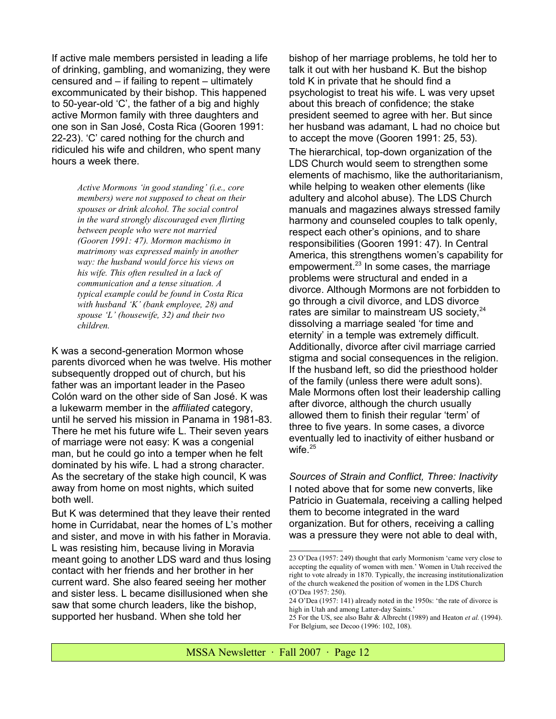If active male members persisted in leading a life of drinking, gambling, and womanizing, they were censured and – if failing to repent – ultimately excommunicated by their bishop. This happened to 50-year-old 'C', the father of a big and highly active Mormon family with three daughters and one son in San José, Costa Rica (Gooren 1991: 22-23). 'C' cared nothing for the church and ridiculed his wife and children, who spent many hours a week there.

> *Active Mormons 'in good standing' (i.e., core members) were not supposed to cheat on their spouses or drink alcohol. The social control in the ward strongly discouraged even flirting between people who were not married (Gooren 1991: 47). Mormon machismo in matrimony was expressed mainly in another way: the husband would force his views on his wife. This often resulted in a lack of communication and a tense situation. A typical example could be found in Costa Rica with husband 'K' (bank employee, 28) and spouse 'L' (housewife, 32) and their two children.*

K was a second-generation Mormon whose parents divorced when he was twelve. His mother subsequently dropped out of church, but his father was an important leader in the Paseo Colón ward on the other side of San José. K was a lukewarm member in the *affiliated* category, until he served his mission in Panama in 1981-83. There he met his future wife L. Their seven years of marriage were not easy: K was a congenial man, but he could go into a temper when he felt dominated by his wife. L had a strong character. As the secretary of the stake high council, K was away from home on most nights, which suited both well.

But K was determined that they leave their rented home in Curridabat, near the homes of L's mother and sister, and move in with his father in Moravia. L was resisting him, because living in Moravia meant going to another LDS ward and thus losing contact with her friends and her brother in her current ward. She also feared seeing her mother and sister less. L became disillusioned when she saw that some church leaders, like the bishop, supported her husband. When she told her

bishop of her marriage problems, he told her to talk it out with her husband K. But the bishop told K in private that he should find a psychologist to treat his wife. L was very upset about this breach of confidence; the stake president seemed to agree with her. But since her husband was adamant, L had no choice but to accept the move (Gooren 1991: 25, 53).

The hierarchical, top-down organization of the LDS Church would seem to strengthen some elements of machismo, like the authoritarianism, while helping to weaken other elements (like adultery and alcohol abuse). The LDS Church manuals and magazines always stressed family harmony and counseled couples to talk openly, respect each other's opinions, and to share responsibilities (Gooren 1991: 47). In Central America, this strengthens women's capability for empowerment.<sup>[23](#page-11-0)</sup> In some cases, the marriage problems were structural and ended in a divorce. Although Mormons are not forbidden to go through a civil divorce, and LDS divorce rates are similar to mainstream US society,<sup>[24](#page-11-1)</sup> dissolving a marriage sealed 'for time and eternity' in a temple was extremely difficult. Additionally, divorce after civil marriage carried stigma and social consequences in the religion. If the husband left, so did the priesthood holder of the family (unless there were adult sons). Male Mormons often lost their leadership calling after divorce, although the church usually allowed them to finish their regular 'term' of three to five years. In some cases, a divorce eventually led to inactivity of either husband or wife. $25$ 

*Sources of Strain and Conflict, Three: Inactivity* I noted above that for some new converts, like Patricio in Guatemala, receiving a calling helped them to become integrated in the ward organization. But for others, receiving a calling was a pressure they were not able to deal with,

<span id="page-11-0"></span><sup>23</sup> O'Dea (1957: 249) thought that early Mormonism 'came very close to accepting the equality of women with men.' Women in Utah received the right to vote already in 1870. Typically, the increasing institutionalization of the church weakened the position of women in the LDS Church (O'Dea 1957: 250).

<span id="page-11-1"></span><sup>24</sup> O'Dea (1957: 141) already noted in the 1950s: 'the rate of divorce is high in Utah and among Latter-day Saints.'

<span id="page-11-2"></span><sup>25</sup> For the US, see also Bahr & Albrecht (1989) and Heaton *et al.* (1994). For Belgium, see Decoo (1996: 102, 108).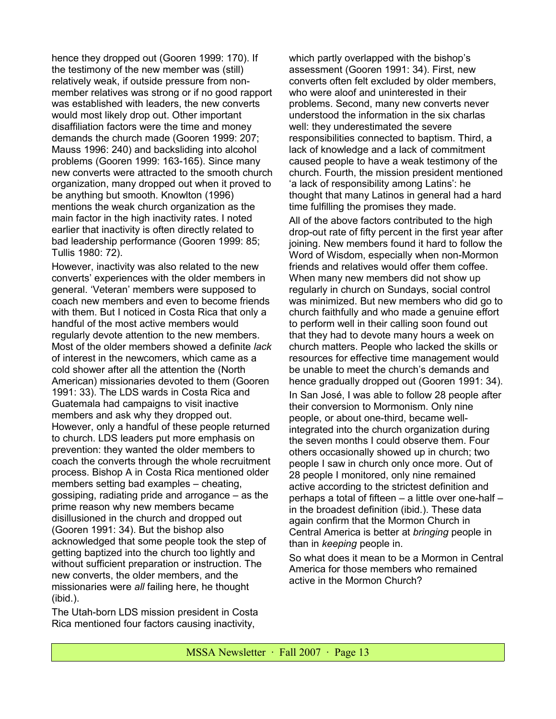hence they dropped out (Gooren 1999: 170). If the testimony of the new member was (still) relatively weak, if outside pressure from nonmember relatives was strong or if no good rapport was established with leaders, the new converts would most likely drop out. Other important disaffiliation factors were the time and money demands the church made (Gooren 1999: 207; Mauss 1996: 240) and backsliding into alcohol problems (Gooren 1999: 163-165). Since many new converts were attracted to the smooth church organization, many dropped out when it proved to be anything but smooth. Knowlton (1996) mentions the weak church organization as the main factor in the high inactivity rates. I noted earlier that inactivity is often directly related to bad leadership performance (Gooren 1999: 85; Tullis 1980: 72).

However, inactivity was also related to the new converts' experiences with the older members in general. 'Veteran' members were supposed to coach new members and even to become friends with them. But I noticed in Costa Rica that only a handful of the most active members would regularly devote attention to the new members. Most of the older members showed a definite *lack* of interest in the newcomers, which came as a cold shower after all the attention the (North American) missionaries devoted to them (Gooren 1991: 33). The LDS wards in Costa Rica and Guatemala had campaigns to visit inactive members and ask why they dropped out. However, only a handful of these people returned to church. LDS leaders put more emphasis on prevention: they wanted the older members to coach the converts through the whole recruitment process. Bishop A in Costa Rica mentioned older members setting bad examples – cheating, gossiping, radiating pride and arrogance – as the prime reason why new members became disillusioned in the church and dropped out (Gooren 1991: 34). But the bishop also acknowledged that some people took the step of getting baptized into the church too lightly and without sufficient preparation or instruction. The new converts, the older members, and the missionaries were *all* failing here, he thought (ibid.).

The Utah-born LDS mission president in Costa Rica mentioned four factors causing inactivity,

which partly overlapped with the bishop's assessment (Gooren 1991: 34). First, new converts often felt excluded by older members, who were aloof and uninterested in their problems. Second, many new converts never understood the information in the six charlas well: they underestimated the severe responsibilities connected to baptism. Third, a lack of knowledge and a lack of commitment caused people to have a weak testimony of the church. Fourth, the mission president mentioned 'a lack of responsibility among Latins': he thought that many Latinos in general had a hard time fulfilling the promises they made. All of the above factors contributed to the high drop-out rate of fifty percent in the first year after joining. New members found it hard to follow the Word of Wisdom, especially when non-Mormon friends and relatives would offer them coffee. When many new members did not show up regularly in church on Sundays, social control was minimized. But new members who did go to church faithfully and who made a genuine effort to perform well in their calling soon found out that they had to devote many hours a week on church matters. People who lacked the skills or resources for effective time management would be unable to meet the church's demands and hence gradually dropped out (Gooren 1991: 34). In San José, I was able to follow 28 people after their conversion to Mormonism. Only nine people, or about one-third, became wellintegrated into the church organization during the seven months I could observe them. Four others occasionally showed up in church; two people I saw in church only once more. Out of 28 people I monitored, only nine remained active according to the strictest definition and perhaps a total of fifteen – a little over one-half – in the broadest definition (ibid.). These data again confirm that the Mormon Church in Central America is better at *bringing* people in than in *keeping* people in.

So what does it mean to be a Mormon in Central America for those members who remained active in the Mormon Church?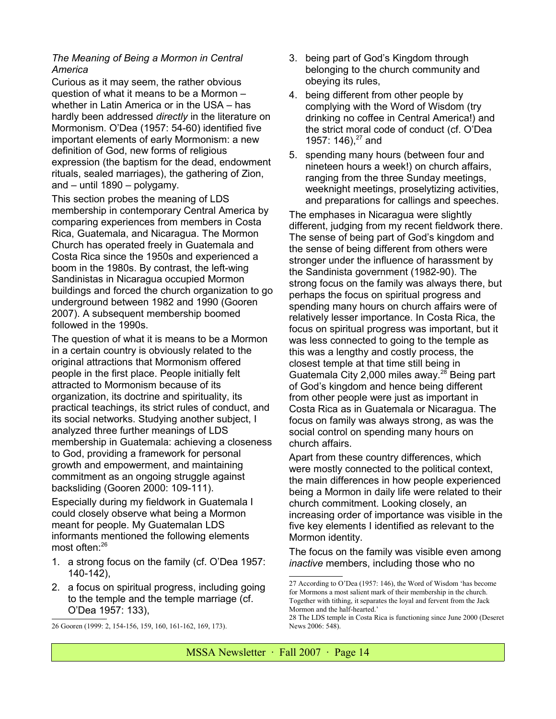# *The Meaning of Being a Mormon in Central America*

Curious as it may seem, the rather obvious question of what it means to be a Mormon – whether in Latin America or in the USA – has hardly been addressed *directly* in the literature on Mormonism. O'Dea (1957: 54-60) identified five important elements of early Mormonism: a new definition of God, new forms of religious expression (the baptism for the dead, endowment rituals, sealed marriages), the gathering of Zion, and – until 1890 – polygamy.

This section probes the meaning of LDS membership in contemporary Central America by comparing experiences from members in Costa Rica, Guatemala, and Nicaragua. The Mormon Church has operated freely in Guatemala and Costa Rica since the 1950s and experienced a boom in the 1980s. By contrast, the left-wing Sandinistas in Nicaragua occupied Mormon buildings and forced the church organization to go underground between 1982 and 1990 (Gooren 2007). A subsequent membership boomed followed in the 1990s.

The question of what it is means to be a Mormon in a certain country is obviously related to the original attractions that Mormonism offered people in the first place. People initially felt attracted to Mormonism because of its organization, its doctrine and spirituality, its practical teachings, its strict rules of conduct, and its social networks. Studying another subject, I analyzed three further meanings of LDS membership in Guatemala: achieving a closeness to God, providing a framework for personal growth and empowerment, and maintaining commitment as an ongoing struggle against backsliding (Gooren 2000: 109-111).

Especially during my fieldwork in Guatemala I could closely observe what being a Mormon meant for people. My Guatemalan LDS informants mentioned the following elements most often:<sup>[26](#page-13-0)</sup>

- 1. a strong focus on the family (cf. O'Dea 1957: 140-142),
- 2. a focus on spiritual progress, including going to the temple and the temple marriage (cf. O'Dea 1957: 133),
- 3. being part of God's Kingdom through belonging to the church community and obeying its rules,
- 4. being different from other people by complying with the Word of Wisdom (try drinking no coffee in Central America!) and the strict moral code of conduct (cf. O'Dea 1957: 146). $27$  and
- 5. spending many hours (between four and nineteen hours a week!) on church affairs, ranging from the three Sunday meetings, weeknight meetings, proselytizing activities, and preparations for callings and speeches.

The emphases in Nicaragua were slightly different, judging from my recent fieldwork there. The sense of being part of God's kingdom and the sense of being different from others were stronger under the influence of harassment by the Sandinista government (1982-90). The strong focus on the family was always there, but perhaps the focus on spiritual progress and spending many hours on church affairs were of relatively lesser importance. In Costa Rica, the focus on spiritual progress was important, but it was less connected to going to the temple as this was a lengthy and costly process, the closest temple at that time still being in Guatemala City 2,000 miles away.<sup>[28](#page-13-2)</sup> Being part of God's kingdom and hence being different from other people were just as important in Costa Rica as in Guatemala or Nicaragua. The focus on family was always strong, as was the social control on spending many hours on church affairs.

Apart from these country differences, which were mostly connected to the political context, the main differences in how people experienced being a Mormon in daily life were related to their church commitment. Looking closely, an increasing order of importance was visible in the five key elements I identified as relevant to the Mormon identity.

The focus on the family was visible even among *inactive* members, including those who no

<span id="page-13-0"></span><sup>26</sup> Gooren (1999: 2, 154-156, 159, 160, 161-162, 169, 173).

<span id="page-13-1"></span><sup>27</sup> According to O'Dea (1957: 146), the Word of Wisdom 'has become for Mormons a most salient mark of their membership in the church. Together with tithing, it separates the loyal and fervent from the Jack Mormon and the half-hearted.'

<span id="page-13-2"></span><sup>28</sup> The LDS temple in Costa Rica is functioning since June 2000 (Deseret News 2006: 548).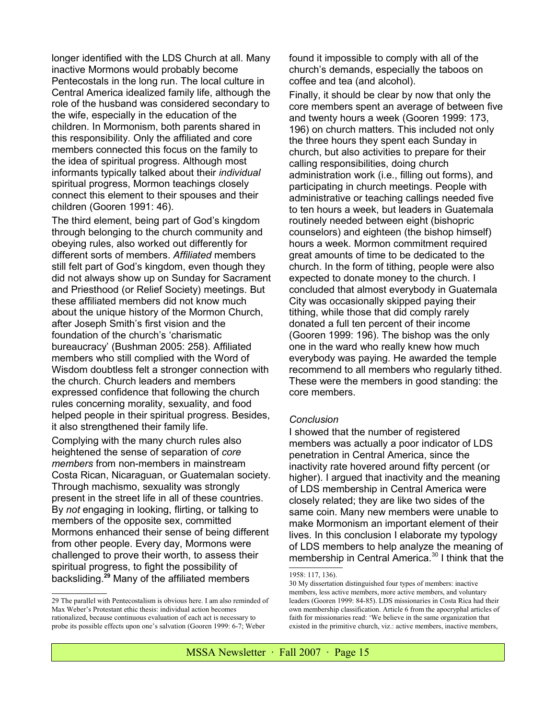longer identified with the LDS Church at all. Many inactive Mormons would probably become Pentecostals in the long run. The local culture in Central America idealized family life, although the role of the husband was considered secondary to the wife, especially in the education of the children. In Mormonism, both parents shared in this responsibility. Only the affiliated and core members connected this focus on the family to the idea of spiritual progress. Although most informants typically talked about their *individual* spiritual progress, Mormon teachings closely connect this element to their spouses and their children (Gooren 1991: 46).

The third element, being part of God's kingdom through belonging to the church community and obeying rules, also worked out differently for different sorts of members. *Affiliated* members still felt part of God's kingdom, even though they did not always show up on Sunday for Sacrament and Priesthood (or Relief Society) meetings. But these affiliated members did not know much about the unique history of the Mormon Church, after Joseph Smith's first vision and the foundation of the church's 'charismatic bureaucracy' (Bushman 2005: 258). Affiliated members who still complied with the Word of Wisdom doubtless felt a stronger connection with the church. Church leaders and members expressed confidence that following the church rules concerning morality, sexuality, and food helped people in their spiritual progress. Besides, it also strengthened their family life.

Complying with the many church rules also heightened the sense of separation of *core members* from non-members in mainstream Costa Rican, Nicaraguan, or Guatemalan society. Through machismo, sexuality was strongly present in the street life in all of these countries. By *not* engaging in looking, flirting, or talking to members of the opposite sex, committed Mormons enhanced their sense of being different from other people. Every day, Mormons were challenged to prove their worth, to assess their spiritual progress, to fight the possibility of backsliding.**[29](#page-14-0)** Many of the affiliated members

found it impossible to comply with all of the church's demands, especially the taboos on coffee and tea (and alcohol).

Finally, it should be clear by now that only the core members spent an average of between five and twenty hours a week (Gooren 1999: 173, 196) on church matters. This included not only the three hours they spent each Sunday in church, but also activities to prepare for their calling responsibilities, doing church administration work (i.e., filling out forms), and participating in church meetings. People with administrative or teaching callings needed five to ten hours a week, but leaders in Guatemala routinely needed between eight (bishopric counselors) and eighteen (the bishop himself) hours a week. Mormon commitment required great amounts of time to be dedicated to the church. In the form of tithing, people were also expected to donate money to the church. I concluded that almost everybody in Guatemala City was occasionally skipped paying their tithing, while those that did comply rarely donated a full ten percent of their income (Gooren 1999: 196). The bishop was the only one in the ward who really knew how much everybody was paying. He awarded the temple recommend to all members who regularly tithed. These were the members in good standing: the core members.

#### *Conclusion*

I showed that the number of registered members was actually a poor indicator of LDS penetration in Central America, since the inactivity rate hovered around fifty percent (or higher). I argued that inactivity and the meaning of LDS membership in Central America were closely related; they are like two sides of the same coin. Many new members were unable to make Mormonism an important element of their lives. In this conclusion I elaborate my typology of LDS members to help analyze the meaning of membership in Central America.<sup>[30](#page-14-1)</sup> I think that the

<span id="page-14-0"></span><sup>29</sup> The parallel with Pentecostalism is obvious here. I am also reminded of Max Weber's Protestant ethic thesis: individual action becomes rationalized, because continuous evaluation of each act is necessary to probe its possible effects upon one's salvation (Gooren 1999: 6-7; Weber

<sup>1958: 117, 136).</sup>

<span id="page-14-1"></span><sup>30</sup> My dissertation distinguished four types of members: inactive members, less active members, more active members, and voluntary leaders (Gooren 1999: 84-85). LDS missionaries in Costa Rica had their own membership classification. Article 6 from the apocryphal articles of faith for missionaries read: 'We believe in the same organization that existed in the primitive church, viz.: active members, inactive members,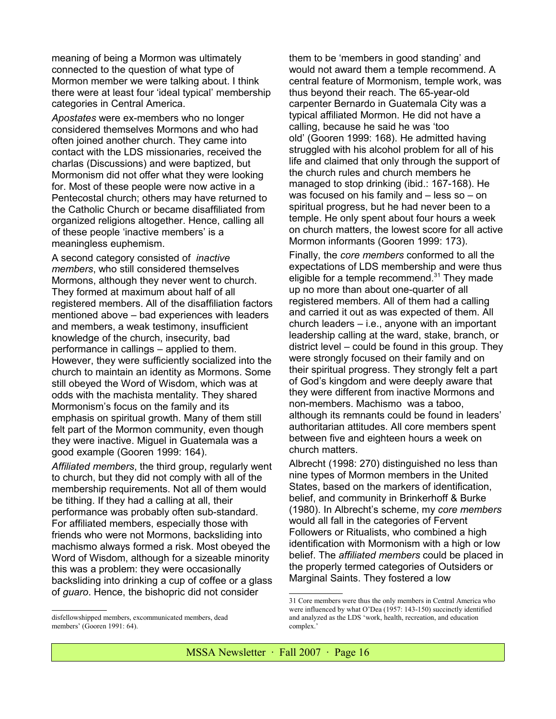meaning of being a Mormon was ultimately connected to the question of what type of Mormon member we were talking about. I think there were at least four 'ideal typical' membership categories in Central America.

*Apostates* were ex-members who no longer considered themselves Mormons and who had often joined another church. They came into contact with the LDS missionaries, received the charlas (Discussions) and were baptized, but Mormonism did not offer what they were looking for. Most of these people were now active in a Pentecostal church; others may have returned to the Catholic Church or became disaffiliated from organized religions altogether. Hence, calling all of these people 'inactive members' is a meaningless euphemism.

A second category consisted of *inactive members*, who still considered themselves Mormons, although they never went to church. They formed at maximum about half of all registered members. All of the disaffiliation factors mentioned above – bad experiences with leaders and members, a weak testimony, insufficient knowledge of the church, insecurity, bad performance in callings – applied to them. However, they were sufficiently socialized into the church to maintain an identity as Mormons. Some still obeyed the Word of Wisdom, which was at odds with the machista mentality. They shared Mormonism's focus on the family and its emphasis on spiritual growth. Many of them still felt part of the Mormon community, even though they were inactive. Miguel in Guatemala was a good example (Gooren 1999: 164).

*Affiliated members*, the third group, regularly went to church, but they did not comply with all of the membership requirements. Not all of them would be tithing. If they had a calling at all, their performance was probably often sub-standard. For affiliated members, especially those with friends who were not Mormons, backsliding into machismo always formed a risk. Most obeyed the Word of Wisdom, although for a sizeable minority this was a problem: they were occasionally backsliding into drinking a cup of coffee or a glass of *guaro*. Hence, the bishopric did not consider

disfellowshipped members, excommunicated members, dead members' (Gooren 1991: 64).

them to be 'members in good standing' and would not award them a temple recommend. A central feature of Mormonism, temple work, was thus beyond their reach. The 65-year-old carpenter Bernardo in Guatemala City was a typical affiliated Mormon. He did not have a calling, because he said he was 'too old' (Gooren 1999: 168). He admitted having struggled with his alcohol problem for all of his life and claimed that only through the support of the church rules and church members he managed to stop drinking (ibid.: 167-168). He was focused on his family and – less so – on spiritual progress, but he had never been to a temple. He only spent about four hours a week on church matters, the lowest score for all active Mormon informants (Gooren 1999: 173).

Finally, the *core members* conformed to all the expectations of LDS membership and were thus eligible for a temple recommend. $31$  They made up no more than about one-quarter of all registered members. All of them had a calling and carried it out as was expected of them. All church leaders – i.e., anyone with an important leadership calling at the ward, stake, branch, or district level – could be found in this group. They were strongly focused on their family and on their spiritual progress. They strongly felt a part of God's kingdom and were deeply aware that they were different from inactive Mormons and non-members. Machismo was a taboo, although its remnants could be found in leaders' authoritarian attitudes. All core members spent between five and eighteen hours a week on church matters.

Albrecht (1998: 270) distinguished no less than nine types of Mormon members in the United States, based on the markers of identification, belief, and community in Brinkerhoff & Burke (1980). In Albrecht's scheme, my *core members* would all fall in the categories of Fervent Followers or Ritualists, who combined a high identification with Mormonism with a high or low belief. The *affiliated members* could be placed in the properly termed categories of Outsiders or Marginal Saints. They fostered a low

<span id="page-15-0"></span><sup>31</sup> Core members were thus the only members in Central America who were influenced by what O'Dea (1957: 143-150) succinctly identified and analyzed as the LDS 'work, health, recreation, and education complex.'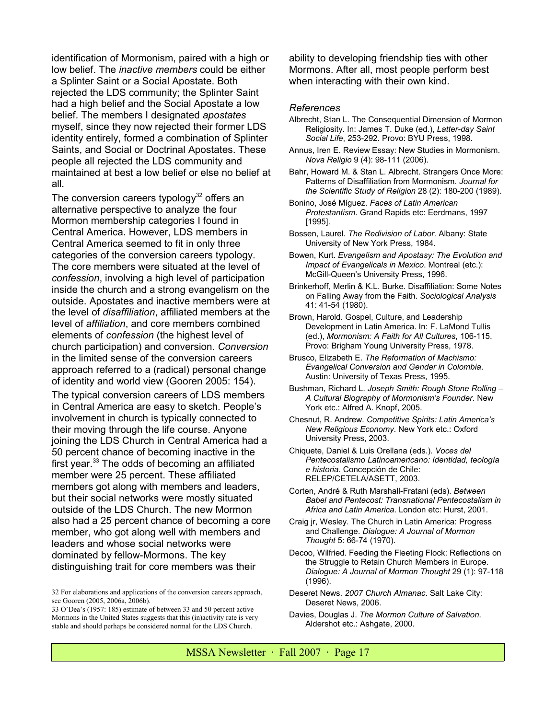identification of Mormonism, paired with a high or low belief. The *inactive members* could be either a Splinter Saint or a Social Apostate. Both rejected the LDS community; the Splinter Saint had a high belief and the Social Apostate a low belief. The members I designated *apostates* myself, since they now rejected their former LDS identity entirely, formed a combination of Splinter Saints, and Social or Doctrinal Apostates. These people all rejected the LDS community and maintained at best a low belief or else no belief at all.

The conversion careers typology<sup>[32](#page-16-0)</sup> offers an alternative perspective to analyze the four Mormon membership categories I found in Central America. However, LDS members in Central America seemed to fit in only three categories of the conversion careers typology. The core members were situated at the level of *confession*, involving a high level of participation inside the church and a strong evangelism on the outside. Apostates and inactive members were at the level of *disaffiliation*, affiliated members at the level of *affiliation*, and core members combined elements of *confession* (the highest level of church participation) and conversion. *Conversion* in the limited sense of the conversion careers approach referred to a (radical) personal change of identity and world view (Gooren 2005: 154).

The typical conversion careers of LDS members in Central America are easy to sketch. People's involvement in church is typically connected to their moving through the life course. Anyone joining the LDS Church in Central America had a 50 percent chance of becoming inactive in the first year. $33$  The odds of becoming an affiliated member were 25 percent. These affiliated members got along with members and leaders, but their social networks were mostly situated outside of the LDS Church. The new Mormon also had a 25 percent chance of becoming a core member, who got along well with members and leaders and whose social networks were dominated by fellow-Mormons. The key distinguishing trait for core members was their

ability to developing friendship ties with other Mormons. After all, most people perform best when interacting with their own kind.

#### *References*

- Albrecht, Stan L. The Consequential Dimension of Mormon Religiosity. In: James T. Duke (ed.), *Latter-day Saint Social Life*, 253-292. Provo: BYU Press, 1998.
- Annus, Iren E. Review Essay: New Studies in Mormonism. *Nova Religio* 9 (4): 98-111 (2006).
- Bahr, Howard M. & Stan L. Albrecht. Strangers Once More: Patterns of Disaffiliation from Mormonism. *Journal for the Scientific Study of Religion* 28 (2): 180-200 (1989).
- Bonino, José Míguez. *Faces of Latin American Protestantism*. Grand Rapids etc: Eerdmans, 1997 [1995].
- Bossen, Laurel. *The Redivision of Labor*. Albany: State University of New York Press, 1984.
- Bowen, Kurt. *Evangelism and Apostasy: The Evolution and Impact of Evangelicals in Mexico*. Montreal (etc.): McGill-Queen's University Press, 1996.
- Brinkerhoff, Merlin & K.L. Burke. Disaffiliation: Some Notes on Falling Away from the Faith. *Sociological Analysis* 41: 41-54 (1980).
- Brown, Harold. Gospel, Culture, and Leadership Development in Latin America. In: F. LaMond Tullis (ed.), *Mormonism: A Faith for All Cultures*, 106-115. Provo: Brigham Young University Press, 1978.
- Brusco, Elizabeth E. *The Reformation of Machismo: Evangelical Conversion and Gender in Colombia*. Austin: University of Texas Press, 1995.
- Bushman, Richard L. *Joseph Smith: Rough Stone Rolling – A Cultural Biography of Mormonism's Founder*. New York etc.: Alfred A. Knopf, 2005.
- Chesnut, R. Andrew. *Competitive Spirits: Latin America's New Religious Economy*. New York etc.: Oxford University Press, 2003.
- Chiquete, Daniel & Luis Orellana (eds.). *Voces del Pentecostalismo Latinoamericano: Identidad, teología e historia*. Concepción de Chile: RELEP/CETELA/ASETT, 2003.
- Corten, André & Ruth Marshall-Fratani (eds). *Between Babel and Pentecost: Transnational Pentecostalism in Africa and Latin America*. London etc: Hurst, 2001.
- Craig jr, Wesley. The Church in Latin America: Progress and Challenge. *Dialogue: A Journal of Mormon Thought* 5: 66-74 (1970).
- Decoo, Wilfried. Feeding the Fleeting Flock: Reflections on the Struggle to Retain Church Members in Europe. *Dialogue: A Journal of Mormon Thought* 29 (1): 97-118 (1996).
- Deseret News. *2007 Church Almanac*. Salt Lake City: Deseret News, 2006.
- Davies, Douglas J. *The Mormon Culture of Salvation*. Aldershot etc.: Ashgate, 2000.

<span id="page-16-0"></span><sup>32</sup> For elaborations and applications of the conversion careers approach, see Gooren (2005, 2006a, 2006b).

<span id="page-16-1"></span><sup>33</sup> O'Dea's (1957: 185) estimate of between 33 and 50 percent active Mormons in the United States suggests that this (in)activity rate is very stable and should perhaps be considered normal for the LDS Church.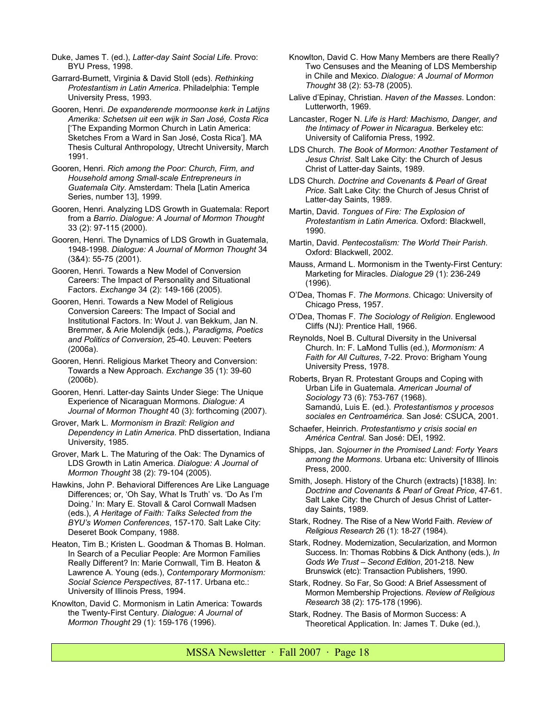- Duke, James T. (ed.), *Latter-day Saint Social Life*. Provo: BYU Press, 1998.
- Garrard-Burnett, Virginia & David Stoll (eds). *Rethinking Protestantism in Latin America*. Philadelphia: Temple University Press, 1993.
- Gooren, Henri. *De expanderende mormoonse kerk in Latijns Amerika: Schetsen uit een wijk in San José, Costa Rica* ['The Expanding Mormon Church in Latin America: Sketches From a Ward in San José, Costa Rica']. MA Thesis Cultural Anthropology, Utrecht University, March 1991.
- Gooren, Henri. *Rich among the Poor: Church, Firm, and Household among Small-scale Entrepreneurs in Guatemala City*. Amsterdam: Thela [Latin America Series, number 13], 1999.
- Gooren, Henri. Analyzing LDS Growth in Guatemala: Report from a *Barrio*. *Dialogue: A Journal of Mormon Thought* 33 (2): 97-115 (2000).
- Gooren, Henri. The Dynamics of LDS Growth in Guatemala, 1948-1998. *Dialogue: A Journal of Mormon Thought* 34 (3&4): 55-75 (2001).
- Gooren, Henri. Towards a New Model of Conversion Careers: The Impact of Personality and Situational Factors. *Exchange* 34 (2): 149-166 (2005).
- Gooren, Henri. Towards a New Model of Religious Conversion Careers: The Impact of Social and Institutional Factors. In: Wout J. van Bekkum, Jan N. Bremmer, & Arie Molendijk (eds.), *Paradigms, Poetics and Politics of Conversion*, 25-40. Leuven: Peeters (2006a).
- Gooren, Henri. Religious Market Theory and Conversion: Towards a New Approach. *Exchange* 35 (1): 39-60 (2006b).
- Gooren, Henri. Latter-day Saints Under Siege: The Unique Experience of Nicaraguan Mormons. *Dialogue: A Journal of Mormon Thought* 40 (3): forthcoming (2007).
- Grover, Mark L. *Mormonism in Brazil: Religion and Dependency in Latin America*. PhD dissertation, Indiana University, 1985.
- Grover, Mark L. The Maturing of the Oak: The Dynamics of LDS Growth in Latin America. *Dialogue: A Journal of Mormon Thought* 38 (2): 79-104 (2005).
- Hawkins, John P. Behavioral Differences Are Like Language Differences; or, 'Oh Say, What Is Truth' vs. 'Do As I'm Doing.' In: Mary E. Stovall & Carol Cornwall Madsen (eds.), *A Heritage of Faith: Talks Selected from the BYU's Women Conferences*, 157-170. Salt Lake City: Deseret Book Company, 1988.
- Heaton, Tim B.; Kristen L. Goodman & Thomas B. Holman. In Search of a Peculiar People: Are Mormon Families Really Different? In: Marie Cornwall, Tim B. Heaton & Lawrence A. Young (eds.), *Contemporary Mormonism: Social Science Perspectives*, 87-117. Urbana etc.: University of Illinois Press, 1994.
- Knowlton, David C. Mormonism in Latin America: Towards the Twenty-First Century. *Dialogue: A Journal of Mormon Thought* 29 (1): 159-176 (1996).
- Knowlton, David C. How Many Members are there Really? Two Censuses and the Meaning of LDS Membership in Chile and Mexico. *Dialogue: A Journal of Mormon Thought* 38 (2): 53-78 (2005).
- Lalive d'Epinay, Christian. *Haven of the Masses*. London: Lutterworth, 1969.
- Lancaster, Roger N. *Life is Hard: Machismo, Danger, and the Intimacy of Power in Nicaragua*. Berkeley etc: University of California Press, 1992.
- LDS Church*. The Book of Mormon: Another Testament of Jesus Christ*. Salt Lake City: the Church of Jesus Christ of Latter-day Saints, 1989.
- LDS Church*. Doctrine and Covenants & Pearl of Great Price*. Salt Lake City: the Church of Jesus Christ of Latter-day Saints, 1989.
- Martin, David. *Tongues of Fire: The Explosion of Protestantism in Latin America*. Oxford: Blackwell, 1990.
- Martin, David. *Pentecostalism: The World Their Parish*. Oxford: Blackwell, 2002.
- Mauss, Armand L. Mormonism in the Twenty-First Century: Marketing for Miracles. *Dialogue* 29 (1): 236-249 (1996).
- O'Dea, Thomas F. *The Mormons*. Chicago: University of Chicago Press, 1957.
- O'Dea, Thomas F. *The Sociology of Religion*. Englewood Cliffs (NJ): Prentice Hall, 1966.
- Reynolds, Noel B. Cultural Diversity in the Universal Church. In: F. LaMond Tullis (ed.), *Mormonism: A Faith for All Cultures*, 7-22. Provo: Brigham Young University Press, 1978.
- Roberts, Bryan R. Protestant Groups and Coping with Urban Life in Guatemala. *American Journal of Sociology* 73 (6): 753-767 (1968). Samandú, Luis E. (ed.). *Protestantismos y procesos sociales en Centroamérica*. San José: CSUCA, 2001.
- Schaefer, Heinrich. *Protestantismo y crisis social en América Central*. San José: DEI, 1992.
- Shipps, Jan. *Sojourner in the Promised Land: Forty Years among the Mormons*. Urbana etc: University of Illinois Press, 2000.
- Smith, Joseph. History of the Church (extracts) [1838]. In: *Doctrine and Covenants & Pearl of Great Price*, 47-61. Salt Lake City: the Church of Jesus Christ of Latterday Saints, 1989.
- Stark, Rodney. The Rise of a New World Faith. *Review of Religious Research* 26 (1): 18-27 (1984).
- Stark, Rodney. Modernization, Secularization, and Mormon Success. In: Thomas Robbins & Dick Anthony (eds.), *In Gods We Trust – Second Edition*, 201-218. New Brunswick (etc): Transaction Publishers, 1990.
- Stark, Rodney. So Far, So Good: A Brief Assessment of Mormon Membership Projections. *Review of Religious Research* 38 (2): 175-178 (1996).
- Stark, Rodney. The Basis of Mormon Success: A Theoretical Application. In: James T. Duke (ed.),

MSSA Newsletter · Fall 2007 · Page 18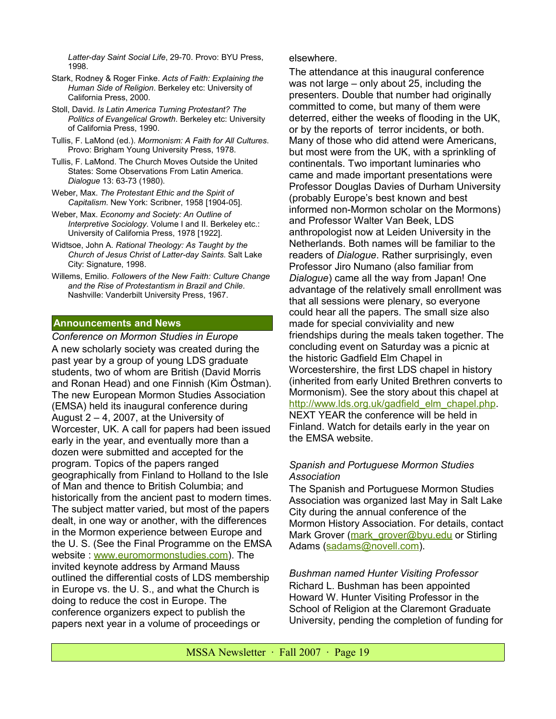*Latter-day Saint Social Life*, 29-70. Provo: BYU Press, 1998.

- Stark, Rodney & Roger Finke. *Acts of Faith: Explaining the Human Side of Religion*. Berkeley etc: University of California Press, 2000.
- Stoll, David. *Is Latin America Turning Protestant? The Politics of Evangelical Growth*. Berkeley etc: University of California Press, 1990.
- Tullis, F. LaMond (ed.). *Mormonism: A Faith for All Cultures*. Provo: Brigham Young University Press, 1978.
- Tullis, F. LaMond. The Church Moves Outside the United States: Some Observations From Latin America. *Dialogue* 13: 63-73 (1980).
- Weber, Max. *The Protestant Ethic and the Spirit of Capitalism*. New York: Scribner, 1958 [1904-05].
- Weber, Max. *Economy and Society: An Outline of Interpretive Sociology*. Volume I and II. Berkeley etc.: University of California Press, 1978 [1922].
- Widtsoe, John A. *Rational Theology: As Taught by the Church of Jesus Christ of Latter-day Saints*. Salt Lake City: Signature, 1998.
- Willems, Emilio. *Followers of the New Faith: Culture Change and the Rise of Protestantism in Brazil and Chile*. Nashville: Vanderbilt University Press, 1967.

#### **Announcements and News**

*Conference on Mormon Studies in Europe* A new scholarly society was created during the past year by a group of young LDS graduate students, two of whom are British (David Morris and Ronan Head) and one Finnish (Kim Östman). The new European Mormon Studies Association (EMSA) held its inaugural conference during August  $2 - 4$ , 2007, at the University of Worcester, UK. A call for papers had been issued early in the year, and eventually more than a dozen were submitted and accepted for the program. Topics of the papers ranged geographically from Finland to Holland to the Isle of Man and thence to British Columbia; and historically from the ancient past to modern times. The subject matter varied, but most of the papers dealt, in one way or another, with the differences in the Mormon experience between Europe and the U. S. (See the Final Programme on the EMSA website : [www.euromormonstudies.com\)](http://www.euromormonstudies.com/). The invited keynote address by Armand Mauss outlined the differential costs of LDS membership in Europe vs. the U. S., and what the Church is doing to reduce the cost in Europe. The conference organizers expect to publish the papers next year in a volume of proceedings or

#### elsewhere.

The attendance at this inaugural conference was not large – only about 25, including the presenters. Double that number had originally committed to come, but many of them were deterred, either the weeks of flooding in the UK, or by the reports of terror incidents, or both. Many of those who did attend were Americans, but most were from the UK, with a sprinkling of continentals. Two important luminaries who came and made important presentations were Professor Douglas Davies of Durham University (probably Europe's best known and best informed non-Mormon scholar on the Mormons) and Professor Walter Van Beek, LDS anthropologist now at Leiden University in the Netherlands. Both names will be familiar to the readers of *Dialogue*. Rather surprisingly, even Professor Jiro Numano (also familiar from *Dialogue*) came all the way from Japan! One advantage of the relatively small enrollment was that all sessions were plenary, so everyone could hear all the papers. The small size also made for special conviviality and new friendships during the meals taken together. The concluding event on Saturday was a picnic at the historic Gadfield Elm Chapel in Worcestershire, the first LDS chapel in history (inherited from early United Brethren converts to Mormonism). See the story about this chapel at [http://www.lds.org.uk/gadfield\\_elm\\_chapel.php.](http://www.lds.org.uk/gadfield_elm_chapel.php) NEXT YEAR the conference will be held in Finland. Watch for details early in the year on the EMSA website.

# *Spanish and Portuguese Mormon Studies Association*

The Spanish and Portuguese Mormon Studies Association was organized last May in Salt Lake City during the annual conference of the Mormon History Association. For details, contact Mark Grover [\(mark\\_grover@byu.edu](mailto:mark_grover@byu.edu?subject=Spanish%20and%20Portuguese%20Mormon%20Studies%20Association) or Stirling Adams [\(sadams@novell.com\)](mailto:sadams@novell.com?subject=Spanish%20and%20Portugues%20Mormon%20Studies%20Association).

*Bushman named Hunter Visiting Professor* Richard L. Bushman has been appointed Howard W. Hunter Visiting Professor in the School of Religion at the Claremont Graduate University, pending the completion of funding for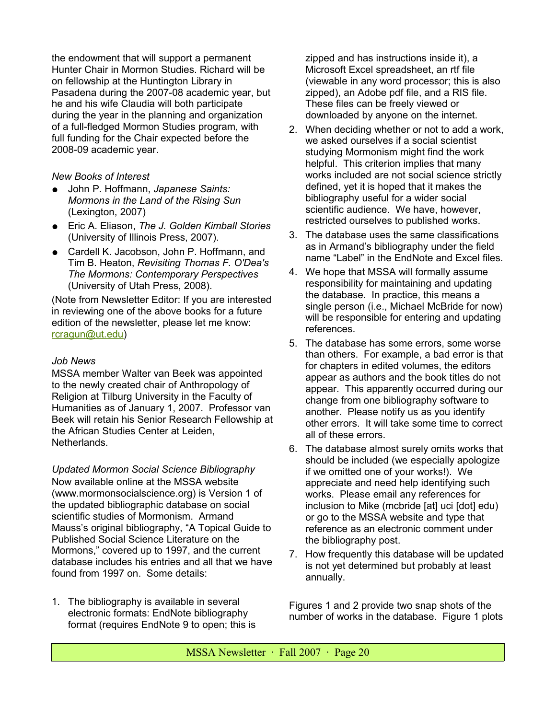the endowment that will support a permanent Hunter Chair in Mormon Studies. Richard will be on fellowship at the Huntington Library in Pasadena during the 2007-08 academic year, but he and his wife Claudia will both participate during the year in the planning and organization of a full-fledged Mormon Studies program, with full funding for the Chair expected before the 2008-09 academic year.

# *New Books of Interest*

- John P. Hoffmann, *Japanese Saints: Mormons in the Land of the Rising Sun* (Lexington, 2007)
- Eric A. Eliason, *The J. Golden Kimball Stories* (University of Illinois Press, 2007).
- Cardell K. Jacobson, John P. Hoffmann, and Tim B. Heaton, *Revisiting Thomas F. O'Dea's The Mormons: Contemporary Perspectives* (University of Utah Press, 2008).

(Note from Newsletter Editor: If you are interested in reviewing one of the above books for a future edition of the newsletter, please let me know: [rcragun@ut.edu\)](mailto:rcragun@ut.edu?subject=book%20review)

# *Job News*

MSSA member Walter van Beek was appointed to the newly created chair of Anthropology of Religion at Tilburg University in the Faculty of Humanities as of January 1, 2007. Professor van Beek will retain his Senior Research Fellowship at the African Studies Center at Leiden, Netherlands.

*Updated Mormon Social Science Bibliography* Now available online at the MSSA website (www.mormonsocialscience.org) is Version 1 of the updated bibliographic database on social scientific studies of Mormonism. Armand Mauss's original bibliography, "A Topical Guide to Published Social Science Literature on the Mormons," covered up to 1997, and the current database includes his entries and all that we have found from 1997 on. Some details:

1. The bibliography is available in several electronic formats: EndNote bibliography format (requires EndNote 9 to open; this is zipped and has instructions inside it), a Microsoft Excel spreadsheet, an rtf file (viewable in any word processor; this is also zipped), an Adobe pdf file, and a RIS file. These files can be freely viewed or downloaded by anyone on the internet.

- 2. When deciding whether or not to add a work, we asked ourselves if a social scientist studying Mormonism might find the work helpful. This criterion implies that many works included are not social science strictly defined, yet it is hoped that it makes the bibliography useful for a wider social scientific audience. We have, however, restricted ourselves to published works.
- 3. The database uses the same classifications as in Armand's bibliography under the field name "Label" in the EndNote and Excel files.
- 4. We hope that MSSA will formally assume responsibility for maintaining and updating the database. In practice, this means a single person (i.e., Michael McBride for now) will be responsible for entering and updating references.
- 5. The database has some errors, some worse than others. For example, a bad error is that for chapters in edited volumes, the editors appear as authors and the book titles do not appear. This apparently occurred during our change from one bibliography software to another. Please notify us as you identify other errors. It will take some time to correct all of these errors.
- 6. The database almost surely omits works that should be included (we especially apologize if we omitted one of your works!). We appreciate and need help identifying such works. Please email any references for inclusion to Mike (mcbride [at] uci [dot] edu) or go to the MSSA website and type that reference as an electronic comment under the bibliography post.
- 7. How frequently this database will be updated is not yet determined but probably at least annually.

Figures 1 and 2 provide two snap shots of the number of works in the database. Figure 1 plots

 $MSSA$  Newsletter  $\cdot$  Fall 2007  $\cdot$  Page 20